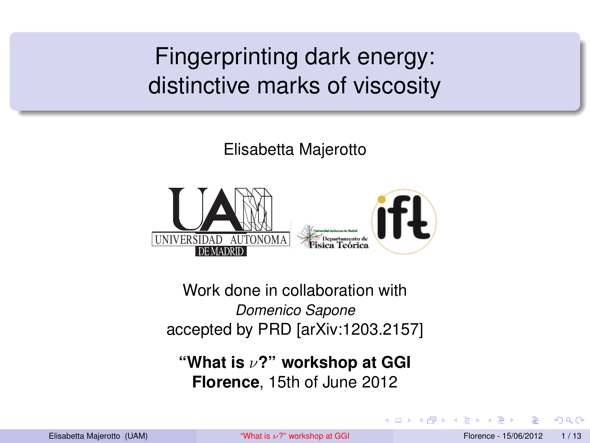Fingerprinting dark energy: distinctive marks of viscosity

Elisabetta Majerotto



Work done in collaboration with *Domenico Sapone* accepted by PRD [arXiv:1203.2157]

**"What is** ν**?" workshop at GGI Florence**, 15th of June 2012

<span id="page-0-0"></span>つひひ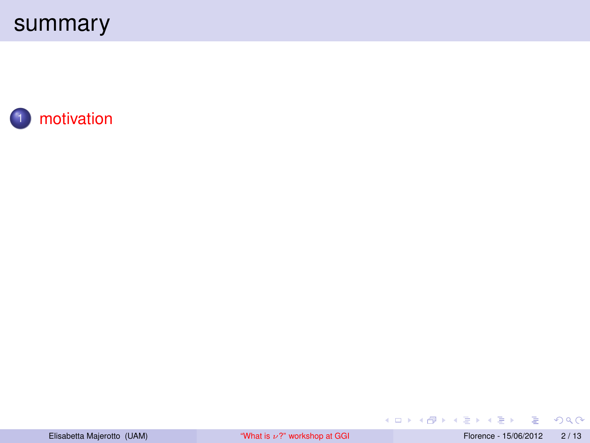



重  $OQ$ 

イロン イ母ン イヨン イヨン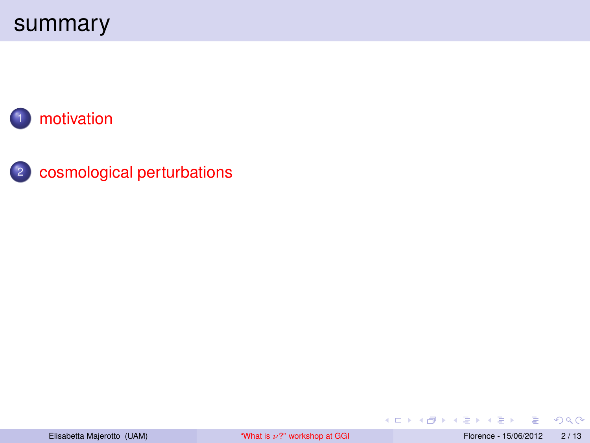



画

メロメメ 倒 メメ ミメメ ミメ

 $2990$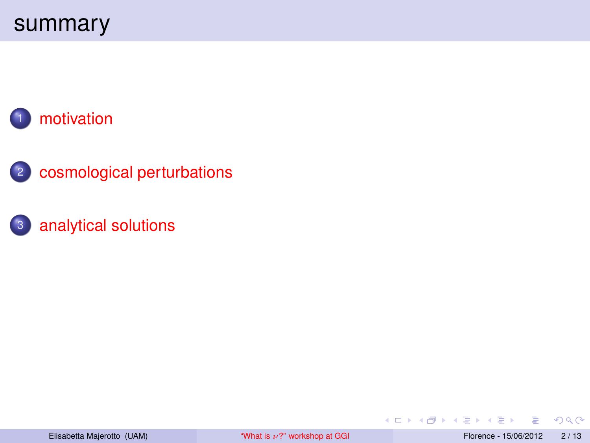



#### <sup>3</sup> [analytical solutions](#page-19-0)

E

医单位 医单

**K ロ ト K 何 ト** 

 $2Q$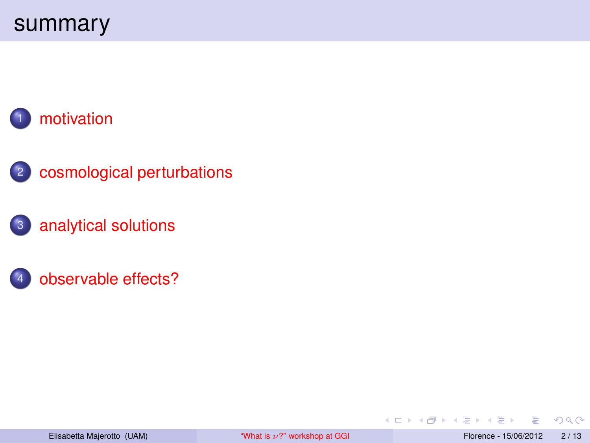

- <sup>2</sup> [cosmological perturbations](#page-16-0)
- <sup>3</sup> [analytical solutions](#page-19-0)
	- [observable effects?](#page-28-0)

 $2Q$ 

Þ

**◆ ロ ▶ → 何** 

 $\sim$ ×.  $\sim$  $\left( 1\right)$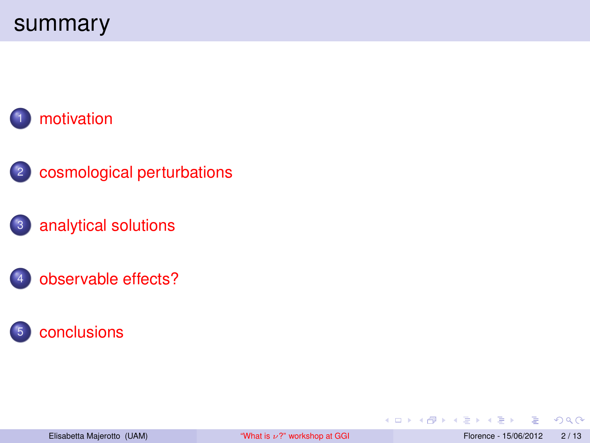

- <sup>2</sup> [cosmological perturbations](#page-16-0)
- <sup>3</sup> [analytical solutions](#page-19-0)
	- [observable effects?](#page-28-0)



 $2Q$ 

Þ

 $\sim$ ×.

**←ロト ←何ト**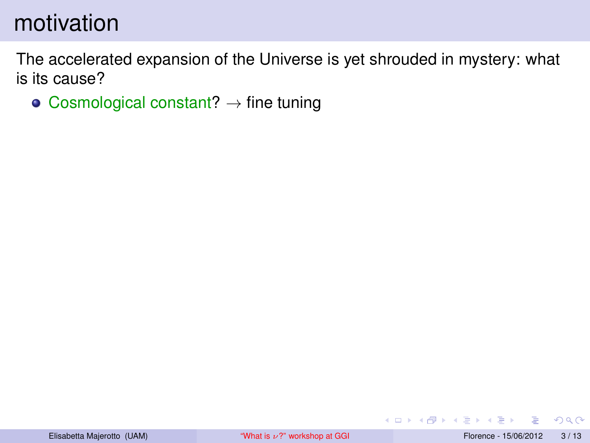The accelerated expansion of the Universe is yet shrouded in mystery: what is its cause?

• Cosmological constant?  $\rightarrow$  fine tuning

<span id="page-6-0"></span> $QQ$ 

ヨメ メラメ

◂**◻▸ ◂<del>╓</del>▸**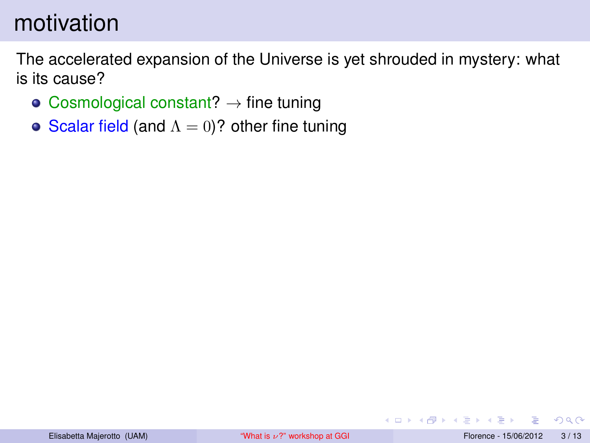The accelerated expansion of the Universe is yet shrouded in mystery: what is its cause?

- Cosmological constant?  $\rightarrow$  fine tuning
- Scalar field (and  $\Lambda = 0$ )? other fine tuning

**∢ ロ ▶ ィ 何** 

 $QQ$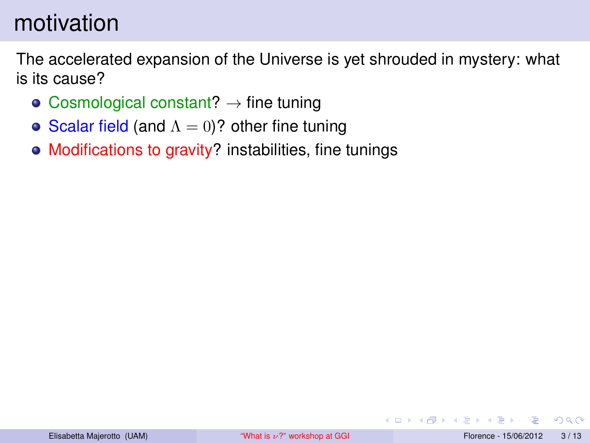The accelerated expansion of the Universe is yet shrouded in mystery: what is its cause?

- Cosmological constant?  $\rightarrow$  fine tuning
- Scalar field (and  $\Lambda = 0$ )? other fine tuning
- Modifications to gravity? instabilities, fine tunings

 $QQ$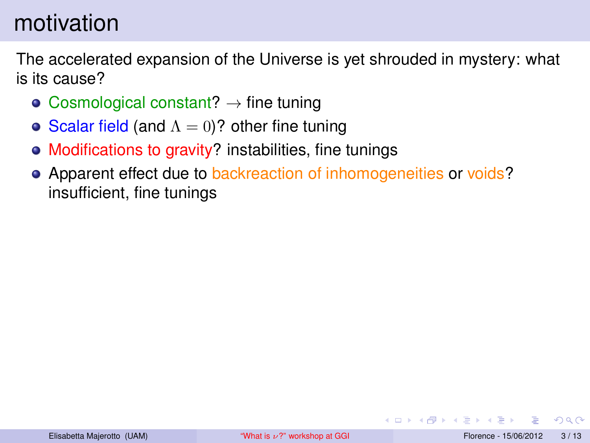The accelerated expansion of the Universe is yet shrouded in mystery: what is its cause?

- Cosmological constant?  $\rightarrow$  fine tuning
- Scalar field (and  $\Lambda = 0$ )? other fine tuning
- Modifications to gravity? instabilities, fine tunings
- Apparent effect due to backreaction of inhomogeneities or voids? insufficient, fine tunings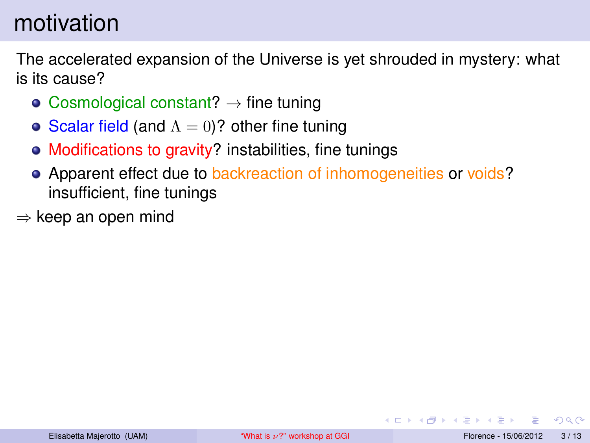The accelerated expansion of the Universe is yet shrouded in mystery: what is its cause?

- Cosmological constant?  $\rightarrow$  fine tuning
- Scalar field (and  $\Lambda = 0$ )? other fine tuning
- Modifications to gravity? instabilities, fine tunings
- Apparent effect due to backreaction of inhomogeneities or voids? insufficient, fine tunings
- $\Rightarrow$  keep an open mind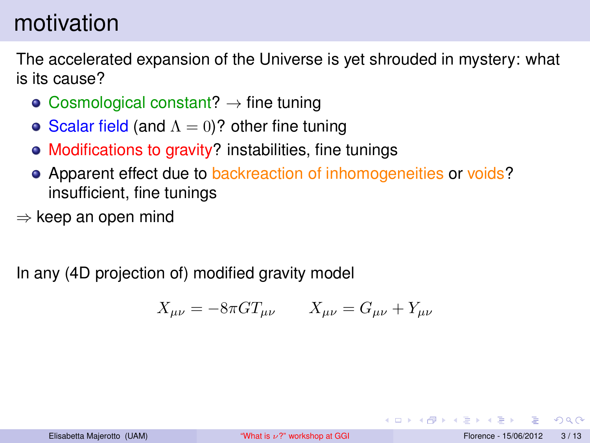The accelerated expansion of the Universe is yet shrouded in mystery: what is its cause?

- Cosmological constant?  $\rightarrow$  fine tuning
- Scalar field (and  $\Lambda = 0$ )? other fine tuning
- Modifications to gravity? instabilities, fine tunings
- Apparent effect due to backreaction of inhomogeneities or voids? insufficient, fine tunings
- $\Rightarrow$  keep an open mind

In any (4D projection of) modified gravity model

$$
X_{\mu\nu} = -8\pi G T_{\mu\nu} \qquad X_{\mu\nu} = G_{\mu\nu} + Y_{\mu\nu}
$$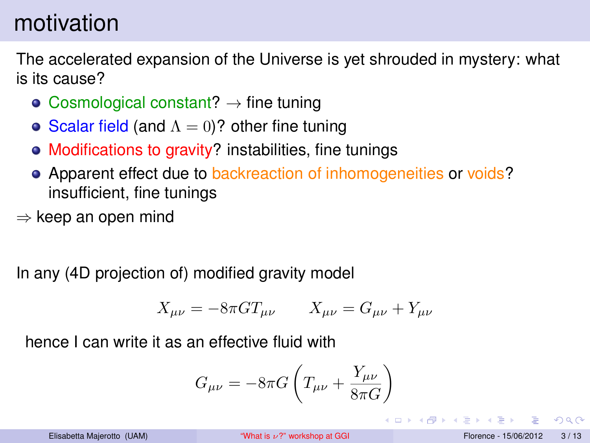The accelerated expansion of the Universe is yet shrouded in mystery: what is its cause?

- Cosmological constant?  $\rightarrow$  fine tuning
- Scalar field (and  $\Lambda = 0$ )? other fine tuning
- Modifications to gravity? instabilities, fine tunings
- Apparent effect due to backreaction of inhomogeneities or voids? insufficient, fine tunings
- $\Rightarrow$  keep an open mind

In any (4D projection of) modified gravity model

$$
X_{\mu\nu} = -8\pi G T_{\mu\nu} \qquad X_{\mu\nu} = G_{\mu\nu} + Y_{\mu\nu}
$$

hence I can write it as an effective fluid with

$$
G_{\mu\nu} = -8\pi G \left( T_{\mu\nu} + \frac{Y_{\mu\nu}}{8\pi G} \right)
$$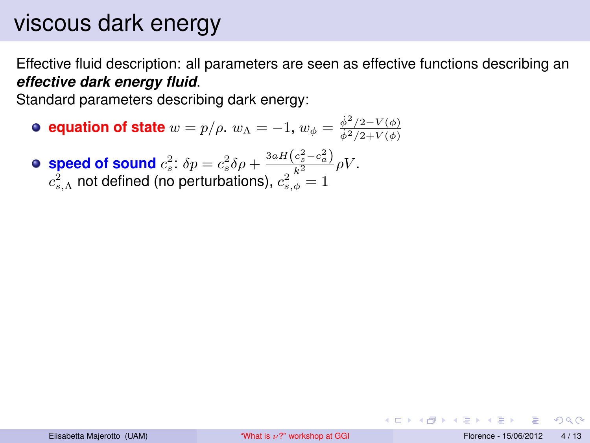# viscous dark energy

Effective fluid description: all parameters are seen as effective functions describing an *effective dark energy fluid*.

Standard parameters describing dark energy:

**equation of state**  $w = p/\rho$ .  $w_{\Lambda} = -1$ ,  $w_{\phi} = \frac{\dot{\phi}^2/2 - V(\phi)}{\dot{\phi}^2/2 + V(\phi)}$  $\dot{\phi}^{2}/2+V(\phi)$ 

**speed of sound**  $c_s^2$ :  $\delta p = c_s^2 \delta \rho + \frac{3 a H (c_s^2 - c_a^2)}{s^2} \rho V$ .  $c_{s,\Lambda}^2$  not defined (no perturbations),  $c_{s,\phi}^2=1$ 

つひひ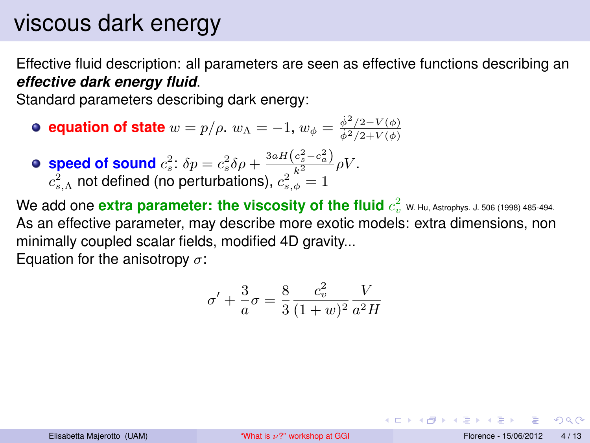## viscous dark energy

Effective fluid description: all parameters are seen as effective functions describing an *effective dark energy fluid*.

Standard parameters describing dark energy:

- **equation of state**  $w = p/\rho$ .  $w_{\Lambda} = -1$ ,  $w_{\phi} = \frac{\dot{\phi}^2/2 V(\phi)}{\dot{\phi}^2/2 + V(\phi)}$  $\dot{\phi}^{2}/2+V(\phi)$
- **speed of sound**  $c_s^2$ :  $\delta p = c_s^2 \delta \rho + \frac{3 a H (c_s^2 c_a^2)}{s^2} \rho V$ .  $c_{s,\Lambda}^2$  not defined (no perturbations),  $c_{s,\phi}^2=1$
- We add one  $\bm{\mathrm{extra}}$  parameter: the viscosity of the fluid  $c_v^2$  w. Hu, Astrophys. J. 506 (1998) 485-494. As an effective parameter, may describe more exotic models: extra dimensions, non minimally coupled scalar fields, modified 4D gravity...

Equation for the anisotropy  $\sigma$ :

$$
\sigma' + \frac{3}{a}\sigma = \frac{8}{3}\frac{c_v^2}{(1+w)^2}\frac{V}{a^2H}
$$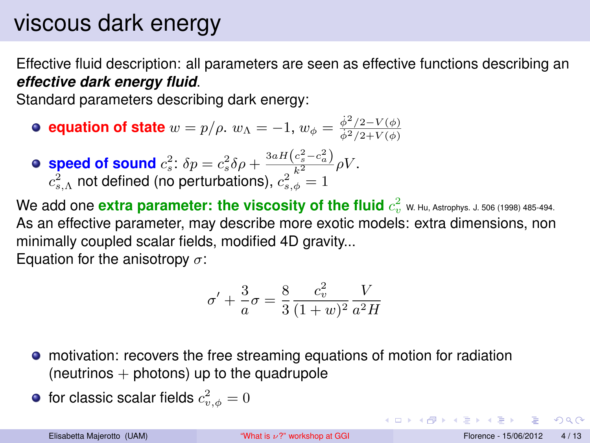# viscous dark energy

Effective fluid description: all parameters are seen as effective functions describing an *effective dark energy fluid*.

Standard parameters describing dark energy:

- **equation of state**  $w = p/\rho$ .  $w_{\Lambda} = -1$ ,  $w_{\phi} = \frac{\dot{\phi}^2/2 V(\phi)}{\dot{\phi}^2/2 + V(\phi)}$  $\dot{\phi}^{2}/2+V(\phi)$
- **speed of sound**  $c_s^2$ :  $\delta p = c_s^2 \delta \rho + \frac{3 a H (c_s^2 c_a^2)}{s^2} \rho V$ .  $c_{s,\Lambda}^2$  not defined (no perturbations),  $c_{s,\phi}^2=1$

We add one  $\bm{\mathrm{extra}}$  parameter: the viscosity of the fluid  $c_v^2$  w. Hu, Astrophys. J. 506 (1998) 485-494. As an effective parameter, may describe more exotic models: extra dimensions, non minimally coupled scalar fields, modified 4D gravity...

Equation for the anisotropy  $\sigma$ :

$$
\sigma' + \frac{3}{a}\sigma = \frac{8}{3}\frac{c_v^2}{(1+w)^2}\frac{V}{a^2H}
$$

- motivation: recovers the free streaming equations of motion for radiation  $(neutrinos + photons)$  up to the quadrupole
- for classic scalar fields  $c^2_{v,\phi}=0$

 $\Omega$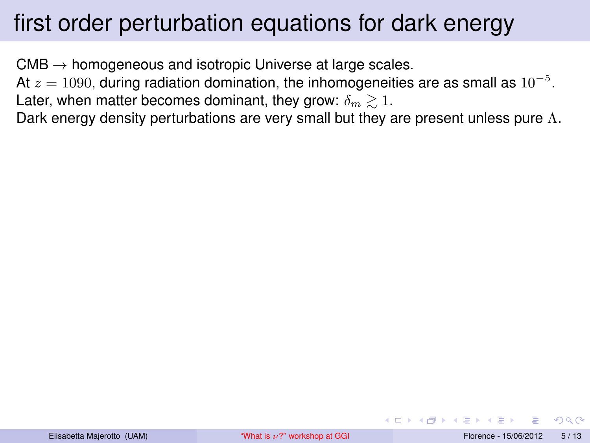# first order perturbation equations for dark energy

 $CMB \rightarrow homogeneous$  and isotropic Universe at large scales.

At  $z=1090$ , during radiation domination, the inhomogeneities are as small as  $10^{-5}.$ Later, when matter becomes dominant, they grow:  $\delta_m \geq 1$ .

<span id="page-16-0"></span>Dark energy density perturbations are very small but they are present unless pure  $\Lambda$ .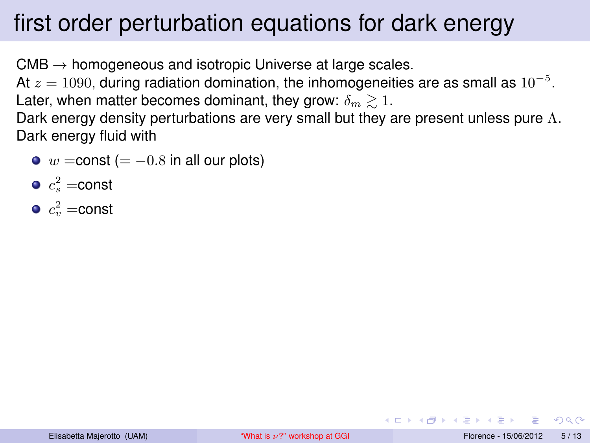# first order perturbation equations for dark energy

 $CMB \rightarrow homogeneous$  and isotropic Universe at large scales.

At  $z=1090$ , during radiation domination, the inhomogeneities are as small as  $10^{-5}.$ Later, when matter becomes dominant, they grow:  $\delta_m \geq 1$ .

Dark energy density perturbations are very small but they are present unless pure  $\Lambda$ . Dark energy fluid with

- $\bullet$  w = const (= -0.8 in all our plots)
- $c_s^2$  =const
- $c_v^2 =$ const

 $QQ$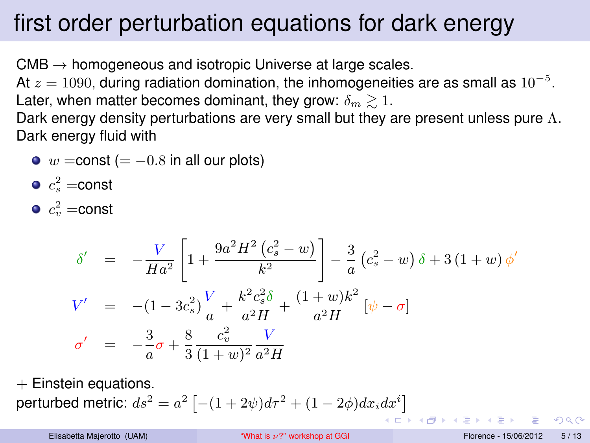# first order perturbation equations for dark energy

 $CMB \rightarrow homogeneous$  and isotropic Universe at large scales.

At  $z=1090$ , during radiation domination, the inhomogeneities are as small as  $10^{-5}.$ Later, when matter becomes dominant, they grow:  $\delta_m \gtrsim 1$ .

Dark energy density perturbations are very small but they are present unless pure  $\Lambda$ . Dark energy fluid with

 $\bullet$  w = const (= -0.8 in all our plots)

$$
\bullet \; c_s^2 = \text{const}
$$

$$
\bullet \; c_v^2 = \text{const}
$$

$$
\delta' = -\frac{V}{Ha^2} \left[ 1 + \frac{9a^2 H^2 (c_s^2 - w)}{k^2} \right] - \frac{3}{a} (c_s^2 - w) \delta + 3 (1 + w) \phi'
$$
  
\n
$$
V' = -(1 - 3c_s^2) \frac{V}{a} + \frac{k^2 c_s^2 \delta}{a^2 H} + \frac{(1 + w)k^2}{a^2 H} [\psi - \sigma]
$$
  
\n
$$
\sigma' = -\frac{3}{a} \sigma + \frac{8}{3} \frac{c_v^2}{(1 + w)^2} \frac{V}{a^2 H}
$$

 $+$  Einstein equations. perturbed metric:  $ds^2 = a^2 \left[ -(1+2\psi) d\tau^2 + (1-2\phi) dx_i dx^i \right]$ **K ロ ト K 何 ト** 

 $QQQ$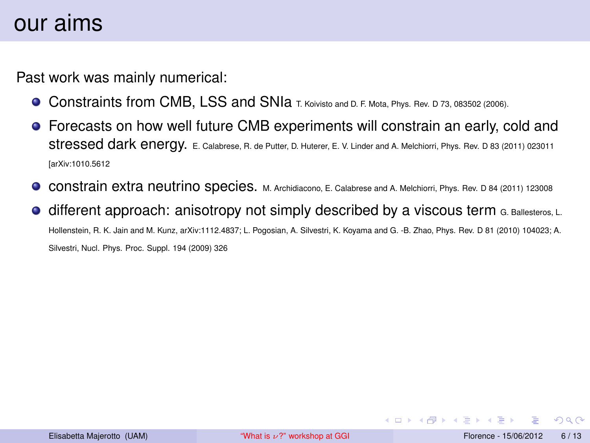Past work was mainly numerical:

- Constraints from CMB, LSS and SNIa T. Koivisto and D. F. Mota, Phys. Rev. D 73, 083502 (2006).
- Forecasts on how well future CMB experiments will constrain an early, cold and stressed dark energy. E. Calabrese, R. de Putter, D. Huterer, E. V. Linder and A. Melchiorri, Phys. Rev. D 83 (2011) 023011 [arXiv:1010.5612
- constrain extra neutrino species. M. Archidiacono, E. Calabrese and A. Melchiorri, Phys. Rev. D 84 (2011) 123008  $\bullet$
- different approach: anisotropy not simply described by a viscous term G. Ballesteros, L. Hollenstein, R. K. Jain and M. Kunz, arXiv:1112.4837; L. Pogosian, A. Silvestri, K. Koyama and G. -B. Zhao, Phys. Rev. D 81 (2010) 104023; A. Silvestri, Nucl. Phys. Proc. Suppl. 194 (2009) 326

<span id="page-19-0"></span> $QQ$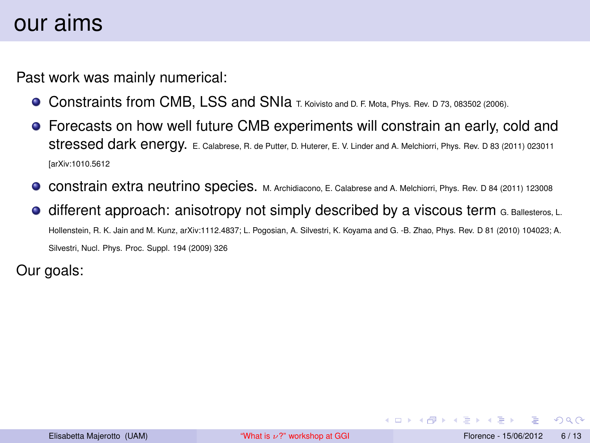Past work was mainly numerical:

- Constraints from CMB, LSS and SNIa T. Koivisto and D. F. Mota, Phys. Rev. D 73, 083502 (2006).
- Forecasts on how well future CMB experiments will constrain an early, cold and stressed dark energy. E. Calabrese, R. de Putter, D. Huterer, E. V. Linder and A. Melchiorri, Phys. Rev. D 83 (2011) 023011 [arXiv:1010.5612
- constrain extra neutrino species. M. Archidiacono, E. Calabrese and A. Melchiorri, Phys. Rev. D 84 (2011) 123008
- different approach: anisotropy not simply described by a viscous term G. Ballesteros, L. Hollenstein, R. K. Jain and M. Kunz, arXiv:1112.4837; L. Pogosian, A. Silvestri, K. Koyama and G. -B. Zhao, Phys. Rev. D 81 (2010) 104023; A. Silvestri, Nucl. Phys. Proc. Suppl. 194 (2009) 326

Our goals:

 $QQ$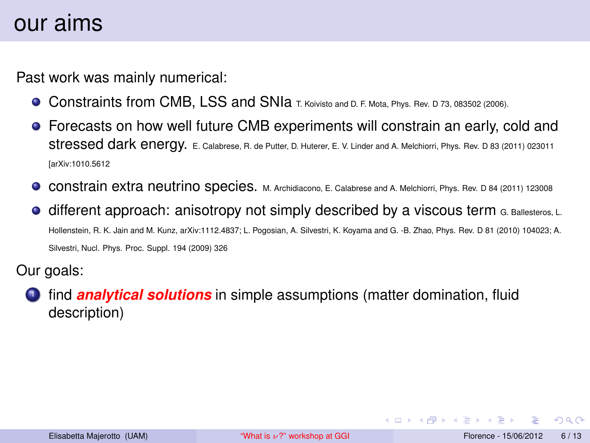Past work was mainly numerical:

- Constraints from CMB, LSS and SNIa T. Koivisto and D. F. Mota, Phys. Rev. D 73, 083502 (2006).
- Forecasts on how well future CMB experiments will constrain an early, cold and stressed dark energy. E. Calabrese, R. de Putter, D. Huterer, E. V. Linder and A. Melchiorri, Phys. Rev. D 83 (2011) 023011 [arXiv:1010.5612
- constrain extra neutrino species. M. Archidiacono, E. Calabrese and A. Melchiorri, Phys. Rev. D 84 (2011) 123008
- different approach: anisotropy not simply described by a viscous term G. Ballesteros, L. Hollenstein, R. K. Jain and M. Kunz, arXiv:1112.4837; L. Pogosian, A. Silvestri, K. Koyama and G. -B. Zhao, Phys. Rev. D 81 (2010) 104023; A. Silvestri, Nucl. Phys. Proc. Suppl. 194 (2009) 326

Our goals:

<sup>1</sup> find *analytical solutions* in simple assumptions (matter domination, fluid description)

 $QQ$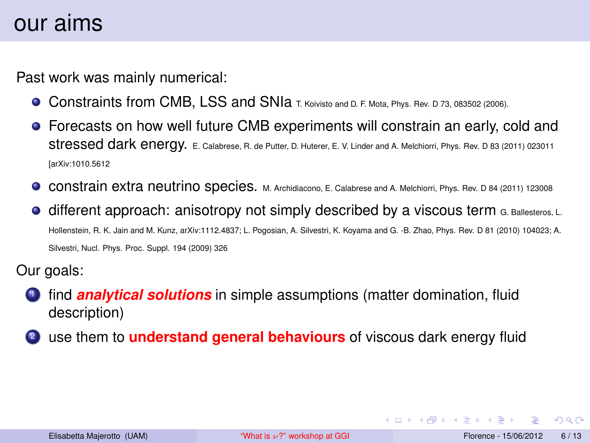Past work was mainly numerical:

- Constraints from CMB, LSS and SNIa T. Koivisto and D. F. Mota, Phys. Rev. D 73, 083502 (2006).
- Forecasts on how well future CMB experiments will constrain an early, cold and stressed dark energy. E. Calabrese, R. de Putter, D. Huterer, E. V. Linder and A. Melchiorri, Phys. Rev. D 83 (2011) 023011 [arXiv:1010.5612
- **CONSTAIN EXTA NEUTRING SPECIES.** M. Archidiacono, E. Calabrese and A. Melchiorri, Phys. Rev. D 84 (2011) 123008
- different approach: anisotropy not simply described by a viscous term G. Ballesteros, L. Hollenstein, R. K. Jain and M. Kunz, arXiv:1112.4837; L. Pogosian, A. Silvestri, K. Koyama and G. -B. Zhao, Phys. Rev. D 81 (2010) 104023; A. Silvestri, Nucl. Phys. Proc. Suppl. 194 (2009) 326

Our goals:

- <sup>1</sup> find *analytical solutions* in simple assumptions (matter domination, fluid description)
- <sup>2</sup> use them to **understand general behaviours** of viscous dark energy fluid

 $QQ$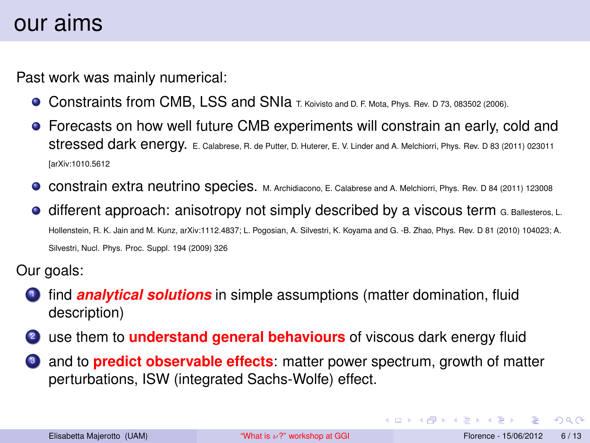Past work was mainly numerical:

- Constraints from CMB, LSS and SNIa T. Koivisto and D. F. Mota, Phys. Rev. D 73, 083502 (2006).
- Forecasts on how well future CMB experiments will constrain an early, cold and stressed dark energy. E. Calabrese, R. de Putter, D. Huterer, E. V. Linder and A. Melchiorri, Phys. Rev. D 83 (2011) 023011 [arXiv:1010.5612
- **CONSTAIN EXTA NEUTRING SPECIES.** M. Archidiacono, E. Calabrese and A. Melchiorri, Phys. Rev. D 84 (2011) 123008
- $\bullet$  different approach: anisotropy not simply described by a viscous term G. Ballesteros, L. Hollenstein, R. K. Jain and M. Kunz, arXiv:1112.4837; L. Pogosian, A. Silvestri, K. Koyama and G. -B. Zhao, Phys. Rev. D 81 (2010) 104023; A. Silvestri, Nucl. Phys. Proc. Suppl. 194 (2009) 326

Our goals:

- <sup>1</sup> find *analytical solutions* in simple assumptions (matter domination, fluid description)
- <sup>2</sup> use them to **understand general behaviours** of viscous dark energy fluid
- <sup>3</sup> and to **predict observable effects**: matter power spectrum, growth of matter perturbations, ISW (integrated Sachs-Wolfe) effect.

<span id="page-23-0"></span> $QQ$ 

イロト イ母 トイラト イラト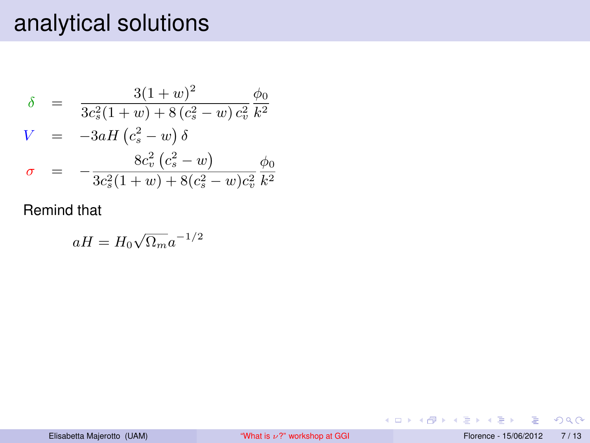$$
\delta = \frac{3(1+w)^2}{3c_s^2(1+w) + 8(c_s^2 - w)c_v^2} \frac{\phi_0}{k^2}
$$
\n
$$
V = -3aH(c_s^2 - w)\delta
$$
\n
$$
\sigma = -\frac{8c_v^2(c_s^2 - w)}{3c_s^2(1+w) + 8(c_s^2 - w)c_v^2} \frac{\phi_0}{k^2}
$$

#### Remind that

$$
aH = H_0 \sqrt{\Omega_m} a^{-1/2}
$$

画

<span id="page-24-0"></span> $2990$ 

メロトメ 伊 トメ ミトメ ミト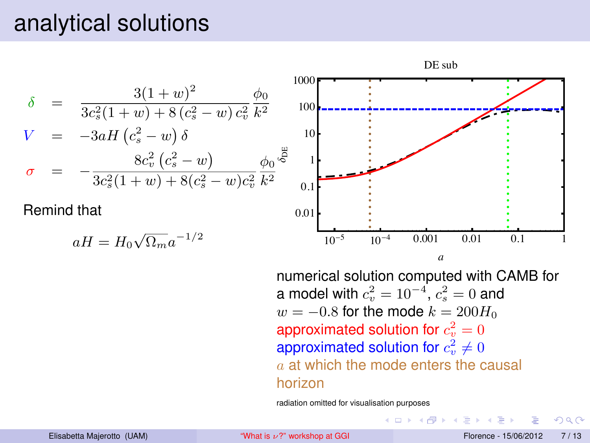

numerical solution computed with CAMB for a model with  $c_v^2 = 10^{-4}$ ,  $c_s^2 = 0$  and  $w = -0.8$  for the mode  $k = 200H_0$ approximated solution for  $c_v^2=0$ approximated solution for  $c_v^2\neq 0$  $a$  at which the mode enters the causal horizon

<span id="page-25-0"></span>イロト イ押ト イヨト イヨト

radiation omitted for visualisation purposes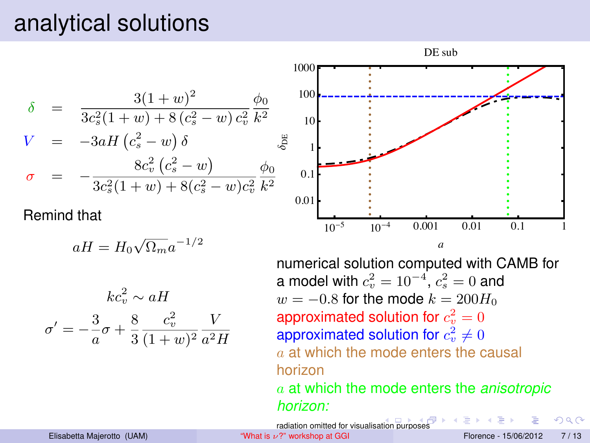$$
\delta = \frac{3(1+w)^2}{3c_s^2(1+w) + 8(c_s^2 - w)c_v^2} \frac{\phi_0}{k^2}
$$
\n
$$
V = -3aH(c_s^2 - w) \delta \qquad \frac{8c_v^2(c_s^2 - w)}{3c_s^2(1+w) + 8(c_s^2 - w)c_v^2} \frac{\phi_0}{k^2}
$$

Remind that

$$
aH = H_0 \sqrt{\Omega_m} a^{-1/2}
$$

$$
kc_v^2 \sim aH
$$

$$
\sigma' = -\frac{3}{a}\sigma + \frac{8}{3}\frac{c_v^2}{(1+w)^2}\frac{V}{a^2H}
$$



numerical solution computed with CAMB for a model with  $c_v^2 = 10^{-4}$ ,  $c_s^2 = 0$  and  $w = -0.8$  for the mode  $k = 200H_0$ approximated solution for  $c_v^2=0$ approximated solution for  $c_v^2\neq 0$  $a$  at which the mode enters the causal horizon a at which the mode enters the *anisotropic horizon:*

radi[ation](#page-25-0) omitted for visualisation p[urpo](#page-27-0)[se](#page-23-0)[s](#page-24-0)

Elisabetta Majerotto (UAM)  $\blacksquare$  "What is  $\nu$ [?" workshop at GGI](#page-0-0) Florence - 15/06/2012 7/13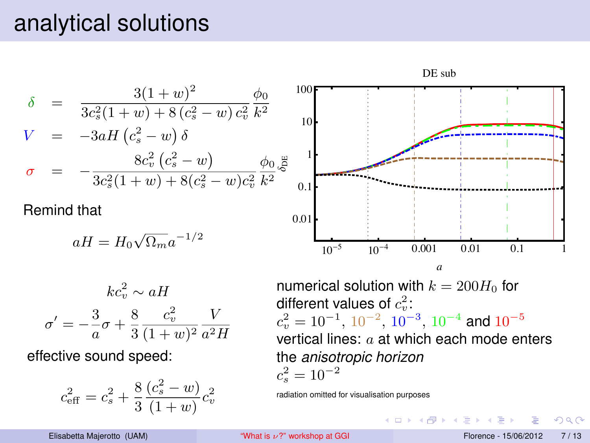

radiation omitted for visualisation purposes

3

<span id="page-27-0"></span> $QQ$ 

イロト イ押ト イヨト イヨトー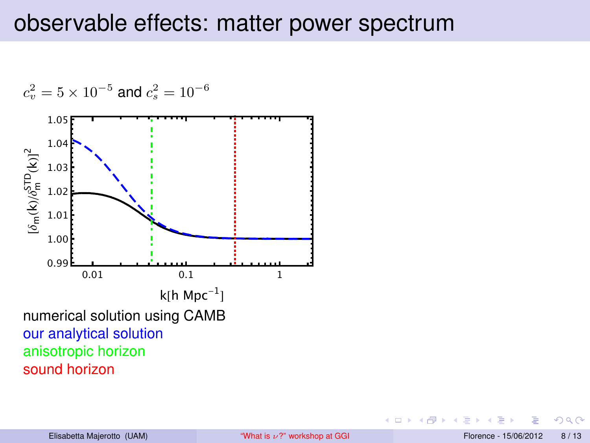<span id="page-28-0"></span>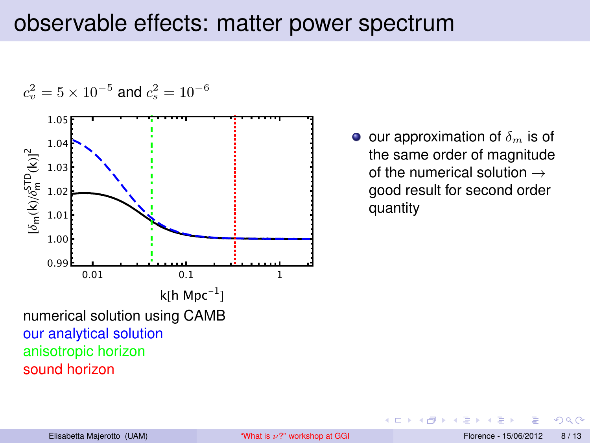

 $\bullet$  our approximation of  $\delta_m$  is of the same order of magnitude of the numerical solution  $\rightarrow$ good result for second order quantity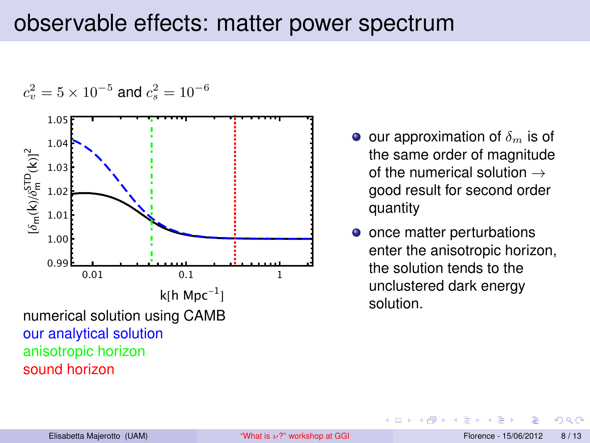

- $\bullet$  our approximation of  $\delta_m$  is of the same order of magnitude of the numerical solution  $\rightarrow$ good result for second order quantity
- once matter perturbations enter the anisotropic horizon, the solution tends to the unclustered dark energy solution.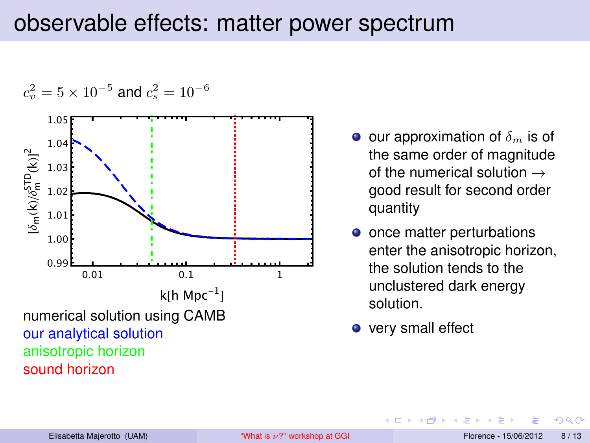

- $\bullet$  our approximation of  $\delta_m$  is of the same order of magnitude of the numerical solution  $\rightarrow$ good result for second order quantity
- once matter perturbations enter the anisotropic horizon, the solution tends to the unclustered dark energy solution.
- very small effect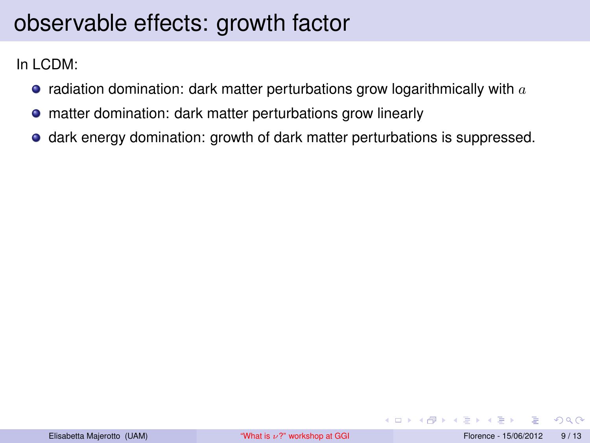In LCDM:

- radiation domination: dark matter perturbations grow logarithmically with  $a$
- matter domination: dark matter perturbations grow linearly
- dark energy domination: growth of dark matter perturbations is suppressed.

 $QQ$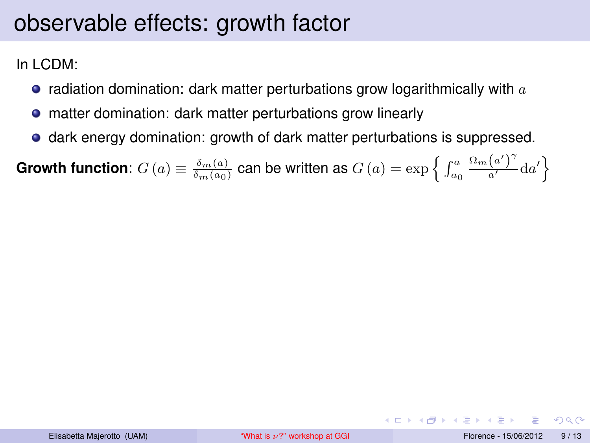In LCDM:

- radiation domination: dark matter perturbations grow logarithmically with  $a$
- matter domination: dark matter perturbations grow linearly
- dark energy domination: growth of dark matter perturbations is suppressed.

**Growth function**:  $G\left(a\right) \equiv \frac{\delta_{m}\left(a\right)}{\delta_{m}\left(a_{0}\right)}$  can be written as  $G\left(a\right) = \exp\left\{\,\int_{a_{0}}^{a}\,\sigma\left(a\right)\,\sigma\left(a\right)\,\sigma\left(a\right)\,\sigma\left(a\right)\,\sigma\left(a\right)\,\sigma\left(a\right)\,\sigma\left(a\right)\right\}$  $\frac{\Omega_m(a')^\gamma}{a'}\text{d}a'\Big\}$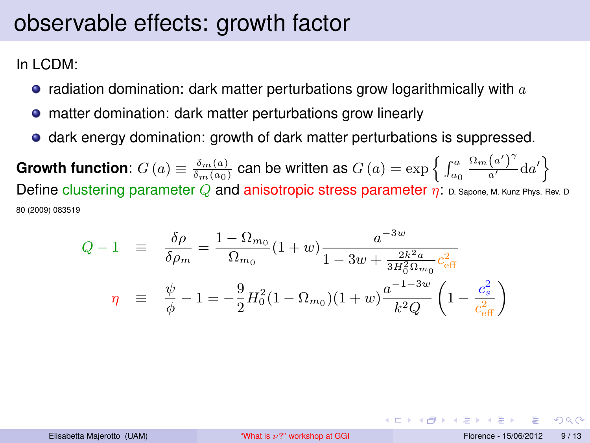In LCDM:

- radiation domination: dark matter perturbations grow logarithmically with  $a$
- matter domination: dark matter perturbations grow linearly
- dark energy domination: growth of dark matter perturbations is suppressed.

**Growth function**:  $G\left(a\right) \equiv \frac{\delta_{m}\left(a\right)}{\delta_{m}\left(a_{0}\right)}$  can be written as  $G\left(a\right) = \exp\left\{\,\int_{a_{0}}^{a}\,\sigma\left(a\right)\,\sigma\left(a\right)\,\sigma\left(a\right)\,\sigma\left(a\right)\,\sigma\left(a\right)\,\sigma\left(a\right)\,\sigma\left(a\right)\right\}$  $\frac{\Omega_m(a')^\gamma}{a'}\text{d}a'\Big\}$ Define clustering parameter  $Q$  and anisotropic stress parameter  $\eta$ : D. Sapone, M. Kunz Phys. Rev. D 80 (2009) 083519

$$
Q - 1 \equiv \frac{\delta \rho}{\delta \rho_m} = \frac{1 - \Omega_{m_0}}{\Omega_{m_0}} (1 + w) \frac{a^{-3w}}{1 - 3w + \frac{2k^2 a}{3H_0^2 \Omega_{m_0}} c_{\text{eff}}^2}
$$

$$
\eta \equiv \frac{\psi}{\phi} - 1 = -\frac{9}{2} H_0^2 (1 - \Omega_{m_0}) (1 + w) \frac{a^{-1 - 3w}}{k^2 Q} \left( 1 - \frac{c_s^2}{c_{\text{eff}}^2} \right)
$$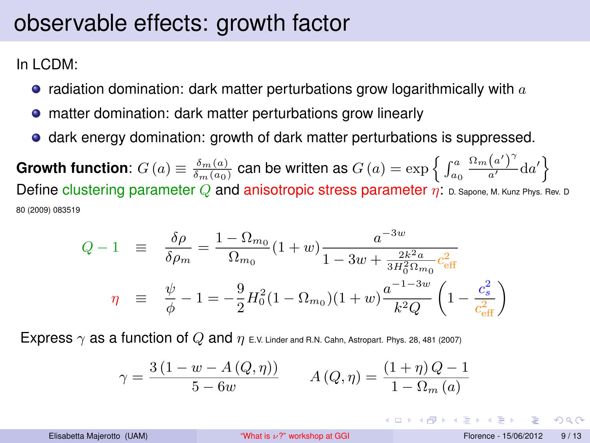In LCDM:

- radiation domination: dark matter perturbations grow logarithmically with  $a$
- matter domination: dark matter perturbations grow linearly
- dark energy domination: growth of dark matter perturbations is suppressed.

**Growth function**:  $G\left(a\right) \equiv \frac{\delta_{m}\left(a\right)}{\delta_{m}\left(a_{0}\right)}$  can be written as  $G\left(a\right) = \exp\left\{\,\int_{a_{0}}^{a}\,\sigma\left(a\right)\,\sigma\left(a\right)\,\sigma\left(a\right)\,\sigma\left(a\right)\,\sigma\left(a\right)\,\sigma\left(a\right)\,\sigma\left(a\right)\right\}$  $\frac{\Omega_m(a')^\gamma}{a'}\text{d}a'\Big\}$ Define clustering parameter  $Q$  and anisotropic stress parameter  $\eta$ : D. Sapone, M. Kunz Phys. Rev. D 80 (2009) 083519

$$
Q - 1 \equiv \frac{\delta \rho}{\delta \rho_m} = \frac{1 - \Omega_{m_0}}{\Omega_{m_0}} (1 + w) \frac{a^{-3w}}{1 - 3w + \frac{2k^2 a}{3H_0^2 \Omega_{m_0}} c_{\text{eff}}^2}
$$

$$
\eta \equiv \frac{\psi}{\phi} - 1 = -\frac{9}{2} H_0^2 (1 - \Omega_{m_0}) (1 + w) \frac{a^{-1 - 3w}}{k^2 Q} \left( 1 - \frac{c_s^2}{c_{\text{eff}}^2} \right)
$$

Express  $\gamma$  as a function of Q and  $\eta$  E.V. Linder and R.N. Cahn, Astropart. Phys. 28, 481 (2007)

$$
\gamma = \frac{3(1 - w - A(Q, \eta))}{5 - 6w} \qquad A(Q, \eta) = \frac{(1 + \eta)Q - 1}{1 - \Omega_m(a)}
$$

- വൈറ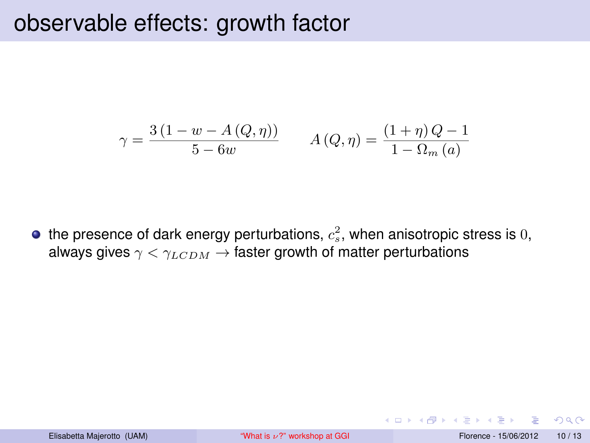$$
\gamma = \frac{3(1 - w - A(Q, \eta))}{5 - 6w} \qquad A(Q, \eta) = \frac{(1 + \eta)Q - 1}{1 - \Omega_m(a)}
$$

the presence of dark energy perturbations,  $c_s^2$ , when anisotropic stress is  $0,$ always gives  $\gamma < \gamma_{LCDM} \rightarrow$  faster growth of matter perturbations

4 0 8

 $QQ$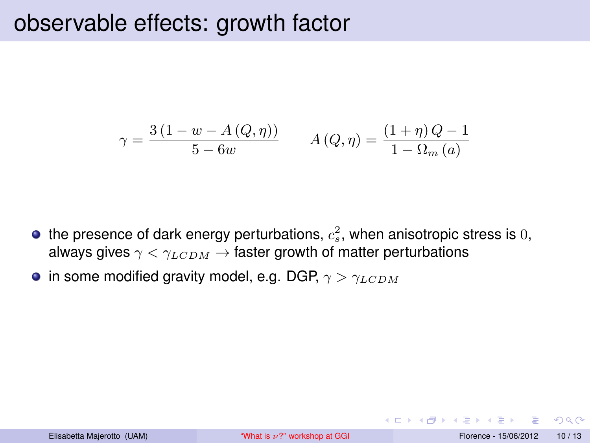$$
\gamma = \frac{3(1 - w - A(Q, \eta))}{5 - 6w} \qquad A(Q, \eta) = \frac{(1 + \eta)Q - 1}{1 - \Omega_m(a)}
$$

- the presence of dark energy perturbations,  $c_s^2$ , when anisotropic stress is  $0,$ always gives  $\gamma < \gamma_{LCDM} \rightarrow$  faster growth of matter perturbations
- in some modified gravity model, e.g. DGP,  $\gamma > \gamma_{LCDM}$

 $QQ$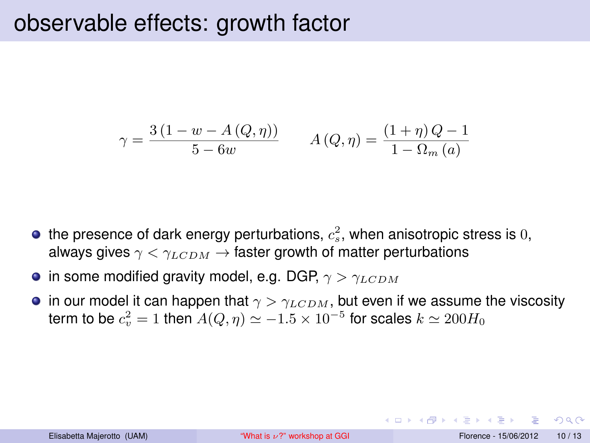$$
\gamma = \frac{3(1 - w - A(Q, \eta))}{5 - 6w} \qquad A(Q, \eta) = \frac{(1 + \eta)Q - 1}{1 - \Omega_m(a)}
$$

- the presence of dark energy perturbations,  $c_s^2$ , when anisotropic stress is  $0,$ always gives  $\gamma < \gamma_{LCDM} \rightarrow$  faster growth of matter perturbations
- in some modified gravity model, e.g. DGP,  $\gamma > \gamma_{LCDM}$
- in our model it can happen that  $\gamma > \gamma_{LCDM}$ , but even if we assume the viscosity term to be  $c_v^2=1$  then  $A(Q,\eta)\simeq -1.5\times 10^{-5}$  for scales  $k\simeq 200H_0$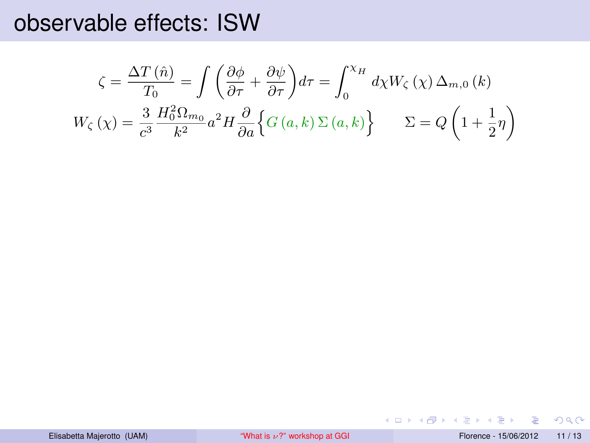#### observable effects: ISW

$$
\zeta = \frac{\Delta T(\hat{n})}{T_0} = \int \left( \frac{\partial \phi}{\partial \tau} + \frac{\partial \psi}{\partial \tau} \right) d\tau = \int_0^{\chi_H} d\chi W_{\zeta}(\chi) \Delta_{m,0} (k)
$$
  

$$
W_{\zeta}(\chi) = \frac{3}{c^3} \frac{H_0^2 \Omega_{m_0}}{k^2} a^2 H \frac{\partial}{\partial a} \Big\{ G(a, k) \Sigma(a, k) \Big\} \qquad \Sigma = Q \left( 1 + \frac{1}{2} \eta \right)
$$

画

 $QQ$ 

メロトメ 伊 トメ ミトメ ミト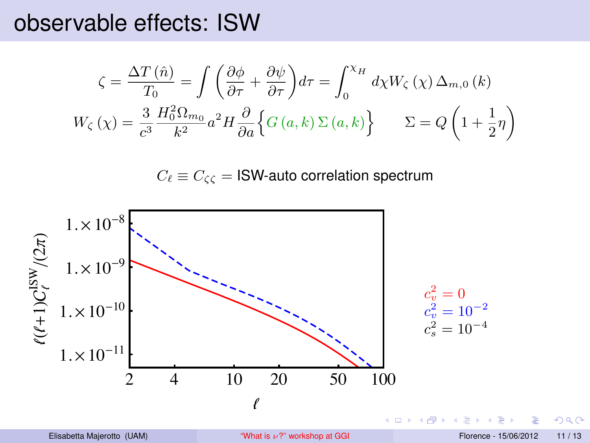#### observable effects: ISW

$$
\zeta = \frac{\Delta T(\hat{n})}{T_0} = \int \left( \frac{\partial \phi}{\partial \tau} + \frac{\partial \psi}{\partial \tau} \right) d\tau = \int_0^{\chi_H} d\chi W_{\zeta}(\chi) \Delta_{m,0} (k)
$$

$$
W_{\zeta}(\chi) = \frac{3}{c^3} \frac{H_0^2 \Omega_{m_0}}{k^2} a^2 H \frac{\partial}{\partial a} \Big\{ G(a, k) \Sigma(a, k) \Big\} \qquad \Sigma = Q \left( 1 + \frac{1}{2} \eta \right)
$$

 $C_{\ell} \equiv C_{\zeta\zeta} =$  ISW-auto correlation spectrum



 $290$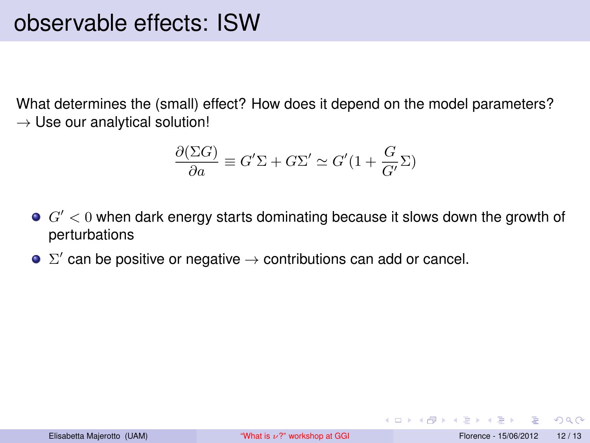What determines the (small) effect? How does it depend on the model parameters?  $\rightarrow$  Use our analytical solution!

$$
\frac{\partial(\Sigma G)}{\partial a} \equiv G' \Sigma + G \Sigma' \simeq G' (1 + \frac{G}{G'} \Sigma)
$$

- $G' < 0$  when dark energy starts dominating because it slows down the growth of perturbations
- $\Sigma'$  can be positive or negative  $\rightarrow$  contributions can add or cancel.

 $QQQ$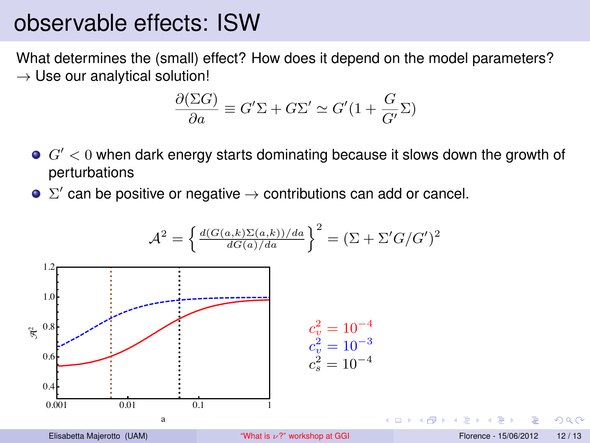### observable effects: ISW

What determines the (small) effect? How does it depend on the model parameters?  $\rightarrow$  Use our analytical solution!

$$
\frac{\partial(\Sigma G)}{\partial a} \equiv G' \Sigma + G \Sigma' \simeq G' (1 + \frac{G}{G'} \Sigma)
$$

- $G^{\prime} < 0$  when dark energy starts dominating because it slows down the growth of perturbations
- $\Sigma'$  can be positive or negative  $\rightarrow$  contributions can add or cancel.

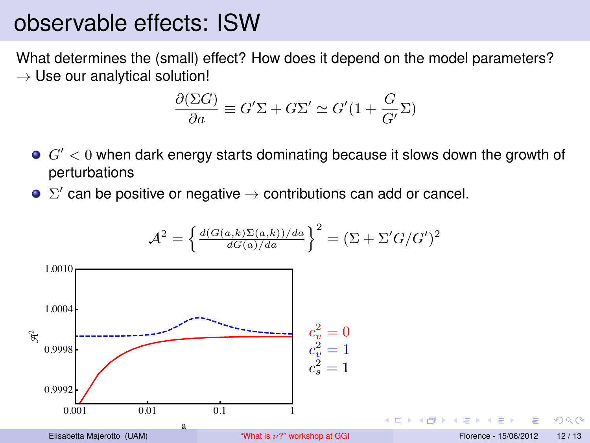### observable effects: ISW

What determines the (small) effect? How does it depend on the model parameters?  $\rightarrow$  Use our analytical solution!

$$
\frac{\partial(\Sigma G)}{\partial a} \equiv G' \Sigma + G \Sigma' \simeq G' (1 + \frac{G}{G'} \Sigma)
$$

- $G^{\prime} < 0$  when dark energy starts dominating because it slows down the growth of perturbations
- $\Sigma'$  can be positive or negative  $\rightarrow$  contributions can add or cancel.



つひひ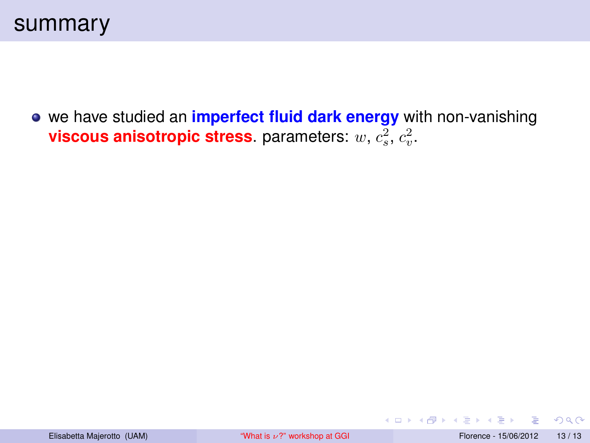we have studied an **imperfect fluid dark energy** with non-vanishing **viscous anisotropic stress**. parameters:  $w, c_s^2, c_v^2$ .

<span id="page-44-0"></span> $QQ$ 

 $x \equiv x$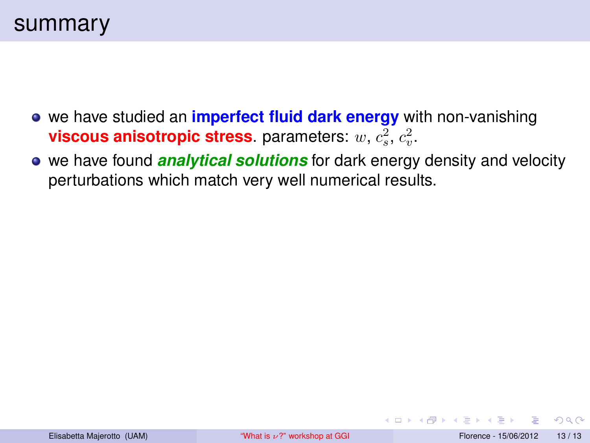- **•** we have studied an *imperfect fluid dark energy* with non-vanishing **viscous anisotropic stress**. parameters:  $w, c_s^2, c_v^2$ .
- we have found **analytical solutions** for dark energy density and velocity perturbations which match very well numerical results.

 $QQ$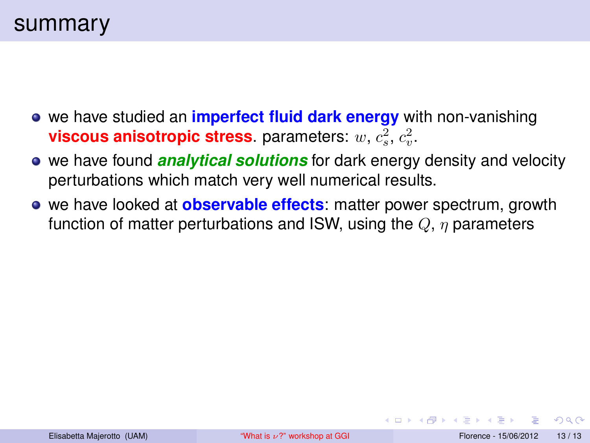- **•** we have studied an **imperfect fluid dark energy** with non-vanishing **viscous anisotropic stress**. parameters:  $w, c_s^2, c_v^2$ .
- we have found **analytical solutions** for dark energy density and velocity perturbations which match very well numerical results.
- we have looked at **observable effects**: matter power spectrum, growth function of matter perturbations and ISW, using the  $Q$ ,  $\eta$  parameters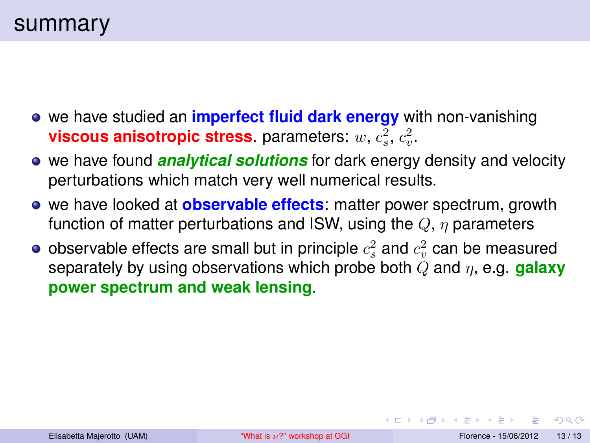- **•** we have studied an **imperfect fluid dark energy** with non-vanishing **viscous anisotropic stress**. parameters:  $w, c_s^2, c_v^2$ .
- we have found **analytical solutions** for dark energy density and velocity perturbations which match very well numerical results.
- we have looked at **observable effects**: matter power spectrum, growth function of matter perturbations and ISW, using the  $Q, \eta$  parameters
- observable effects are small but in principle  $c_{s}^{2}$  and  $c_{v}^{2}$  can be measured separately by using observations which probe both Q and η, e.g. **galaxy power spectrum and weak lensing**.

 $QQ$